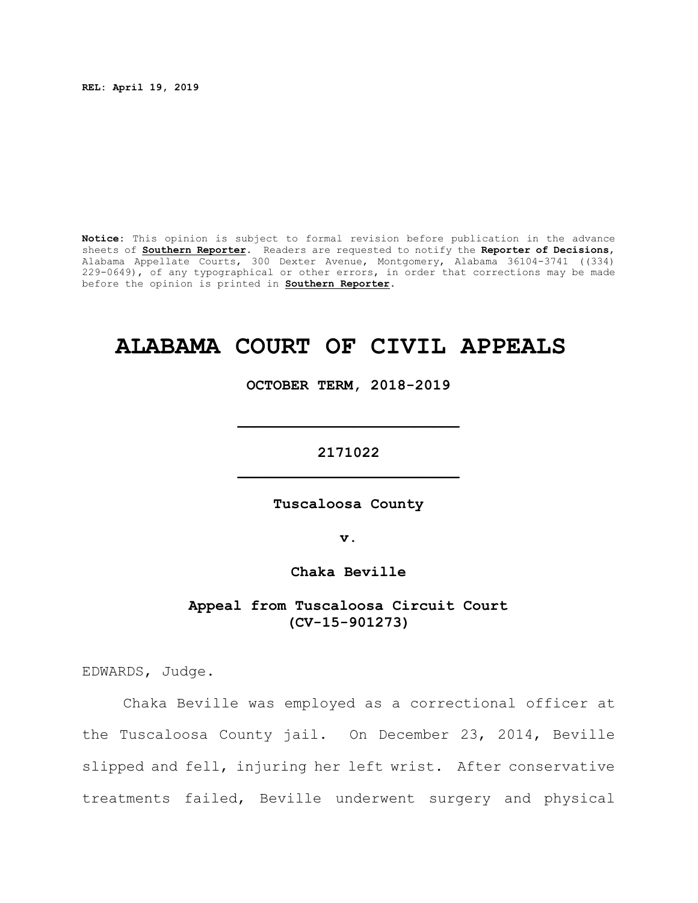**REL: April 19, 2019**

**Notice:** This opinion is subject to formal revision before publication in the advance sheets of **Southern Reporter**. Readers are requested to notify the **Reporter of Decisions**, Alabama Appellate Courts, 300 Dexter Avenue, Montgomery, Alabama 36104-3741 ((334) 229-0649), of any typographical or other errors, in order that corrections may be made before the opinion is printed in **Southern Reporter**.

# **ALABAMA COURT OF CIVIL APPEALS**

**OCTOBER TERM, 2018-2019**

**\_\_\_\_\_\_\_\_\_\_\_\_\_\_\_\_\_\_\_\_\_\_\_\_\_**

**2171022 \_\_\_\_\_\_\_\_\_\_\_\_\_\_\_\_\_\_\_\_\_\_\_\_\_**

**Tuscaloosa County**

**v.**

**Chaka Beville**

**Appeal from Tuscaloosa Circuit Court (CV-15-901273)**

EDWARDS, Judge.

Chaka Beville was employed as a correctional officer at the Tuscaloosa County jail. On December 23, 2014, Beville slipped and fell, injuring her left wrist. After conservative treatments failed, Beville underwent surgery and physical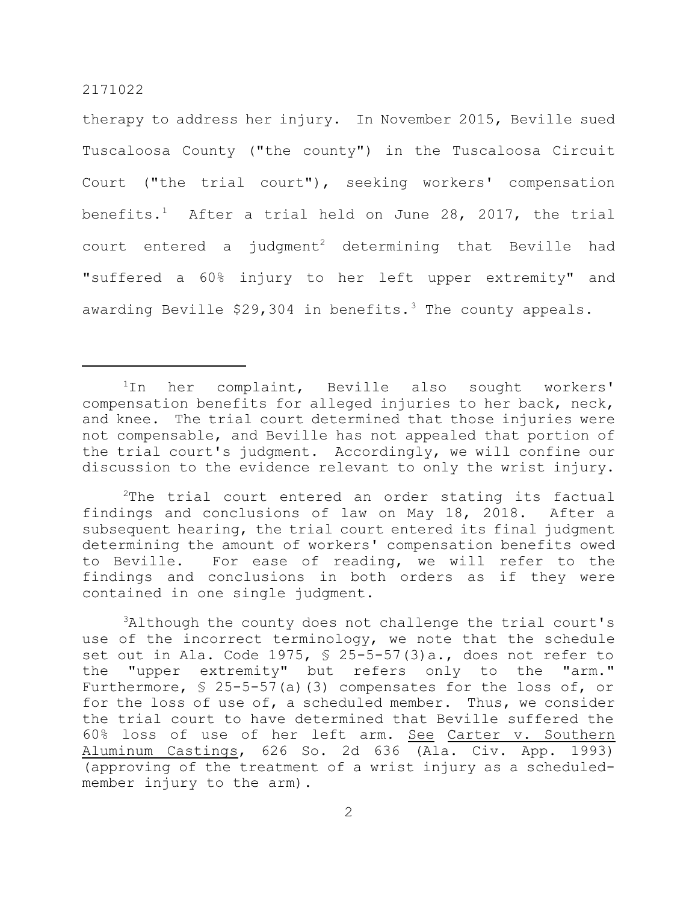therapy to address her injury. In November 2015, Beville sued Tuscaloosa County ("the county") in the Tuscaloosa Circuit Court ("the trial court"), seeking workers' compensation benefits.<sup>1</sup> After a trial held on June 28, 2017, the trial court entered a judgment<sup>2</sup> determining that Beville had "suffered a 60% injury to her left upper extremity" and awarding Beville  $$29,304$  in benefits.<sup>3</sup> The county appeals.

<sup>1</sup>In her complaint, Beville also sought workers' compensation benefits for alleged injuries to her back, neck, and knee. The trial court determined that those injuries were not compensable, and Beville has not appealed that portion of the trial court's judgment. Accordingly, we will confine our discussion to the evidence relevant to only the wrist injury.

<sup>2</sup>The trial court entered an order stating its factual findings and conclusions of law on May 18, 2018. After a subsequent hearing, the trial court entered its final judgment determining the amount of workers' compensation benefits owed to Beville. For ease of reading, we will refer to the findings and conclusions in both orders as if they were contained in one single judgment.

<sup>3</sup>Although the county does not challenge the trial court's use of the incorrect terminology, we note that the schedule set out in Ala. Code 1975, § 25-5-57(3)a., does not refer to the "upper extremity" but refers only to the "arm." Furthermore, § 25-5-57(a)(3) compensates for the loss of, or for the loss of use of, a scheduled member. Thus, we consider the trial court to have determined that Beville suffered the 60% loss of use of her left arm. See Carter v. Southern Aluminum Castings, 626 So. 2d 636 (Ala. Civ. App. 1993) (approving of the treatment of a wrist injury as a scheduledmember injury to the arm).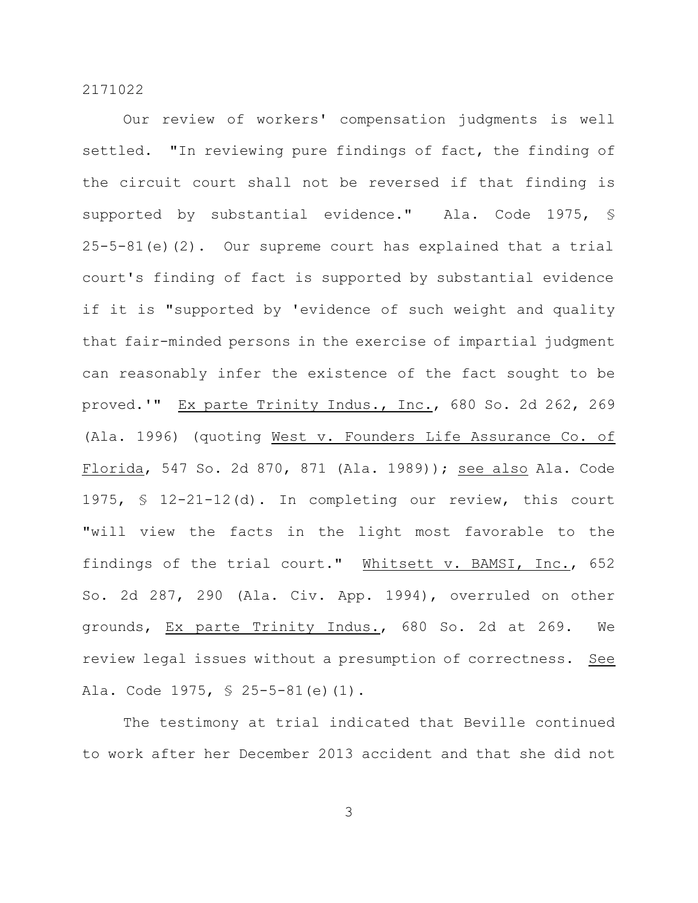Our review of workers' compensation judgments is well settled. "In reviewing pure findings of fact, the finding of the circuit court shall not be reversed if that finding is supported by substantial evidence." Ala. Code 1975, § 25-5-81(e)(2). Our supreme court has explained that a trial court's finding of fact is supported by substantial evidence if it is "supported by 'evidence of such weight and quality that fair-minded persons in the exercise of impartial judgment can reasonably infer the existence of the fact sought to be proved.'" Ex parte Trinity Indus., Inc., 680 So. 2d 262, 269 (Ala. 1996) (quoting West v. Founders Life Assurance Co. of Florida, 547 So. 2d 870, 871 (Ala. 1989)); see also Ala. Code 1975, § 12-21-12(d). In completing our review, this court "will view the facts in the light most favorable to the findings of the trial court." Whitsett v. BAMSI, Inc., 652 So. 2d 287, 290 (Ala. Civ. App. 1994), overruled on other grounds, Ex parte Trinity Indus., 680 So. 2d at 269. We review legal issues without a presumption of correctness. See Ala. Code 1975, § 25-5-81(e)(1).

The testimony at trial indicated that Beville continued to work after her December 2013 accident and that she did not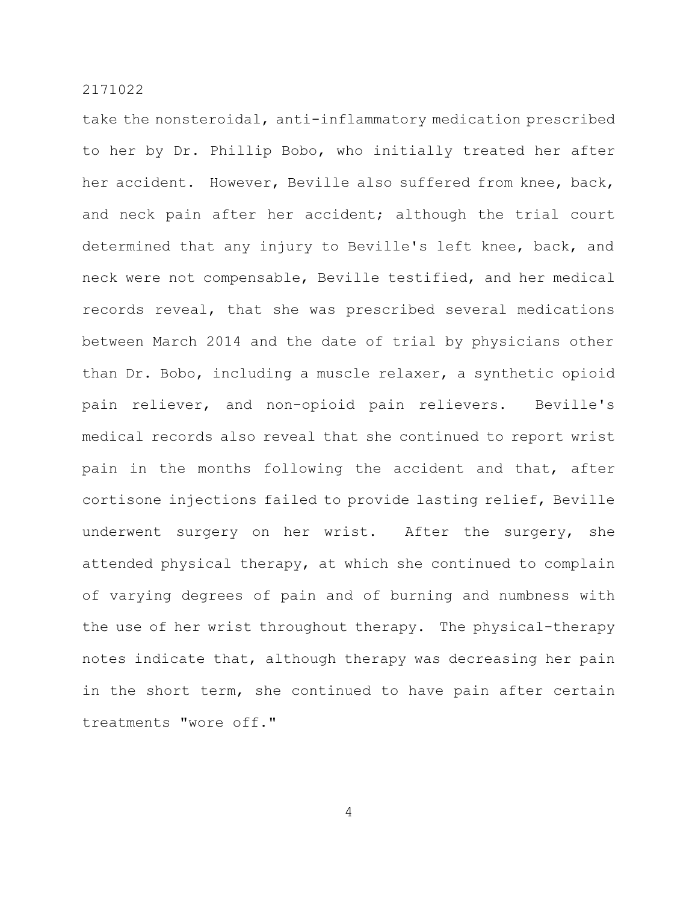take the nonsteroidal, anti-inflammatory medication prescribed to her by Dr. Phillip Bobo, who initially treated her after her accident. However, Beville also suffered from knee, back, and neck pain after her accident; although the trial court determined that any injury to Beville's left knee, back, and neck were not compensable, Beville testified, and her medical records reveal, that she was prescribed several medications between March 2014 and the date of trial by physicians other than Dr. Bobo, including a muscle relaxer, a synthetic opioid pain reliever, and non-opioid pain relievers. Beville's medical records also reveal that she continued to report wrist pain in the months following the accident and that, after cortisone injections failed to provide lasting relief, Beville underwent surgery on her wrist. After the surgery, she attended physical therapy, at which she continued to complain of varying degrees of pain and of burning and numbness with the use of her wrist throughout therapy. The physical-therapy notes indicate that, although therapy was decreasing her pain in the short term, she continued to have pain after certain treatments "wore off."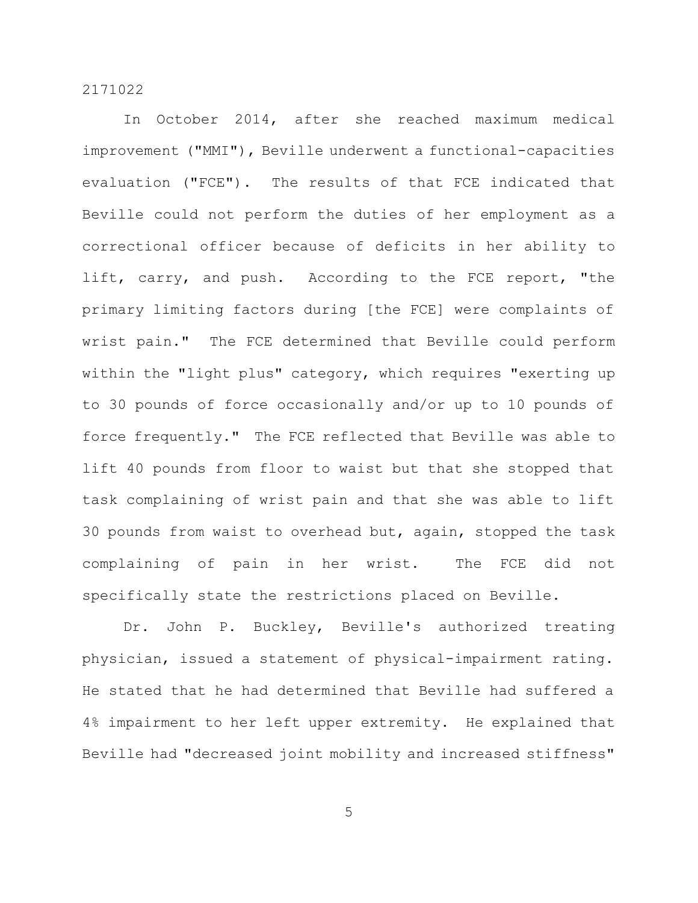In October 2014, after she reached maximum medical improvement ("MMI"), Beville underwent a functional-capacities evaluation ("FCE"). The results of that FCE indicated that Beville could not perform the duties of her employment as a correctional officer because of deficits in her ability to lift, carry, and push. According to the FCE report, "the primary limiting factors during [the FCE] were complaints of wrist pain." The FCE determined that Beville could perform within the "light plus" category, which requires "exerting up to 30 pounds of force occasionally and/or up to 10 pounds of force frequently." The FCE reflected that Beville was able to lift 40 pounds from floor to waist but that she stopped that task complaining of wrist pain and that she was able to lift 30 pounds from waist to overhead but, again, stopped the task complaining of pain in her wrist. The FCE did not specifically state the restrictions placed on Beville.

Dr. John P. Buckley, Beville's authorized treating physician, issued a statement of physical-impairment rating. He stated that he had determined that Beville had suffered a 4% impairment to her left upper extremity. He explained that Beville had "decreased joint mobility and increased stiffness"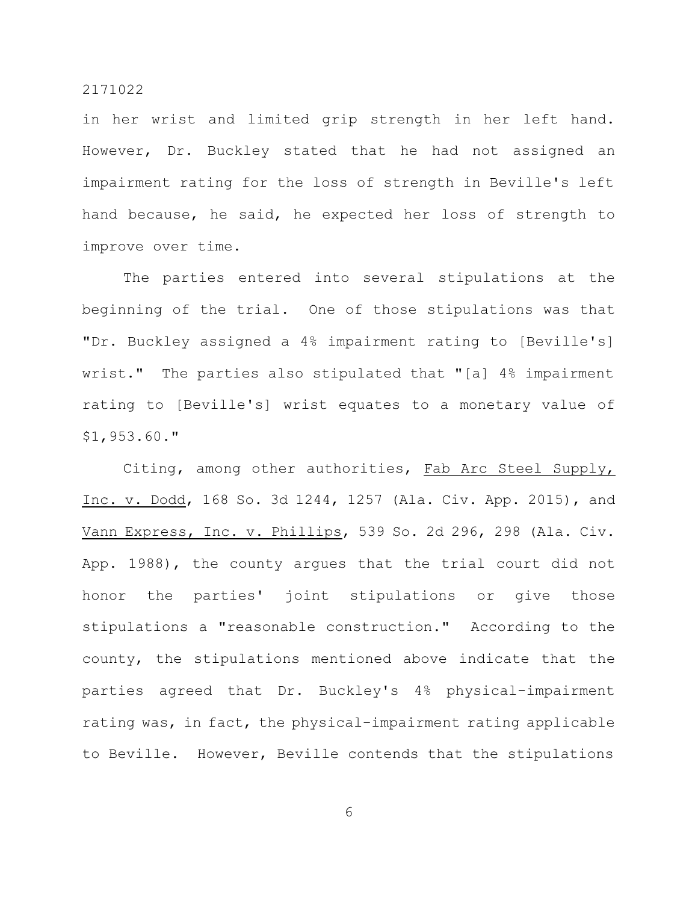in her wrist and limited grip strength in her left hand. However, Dr. Buckley stated that he had not assigned an impairment rating for the loss of strength in Beville's left hand because, he said, he expected her loss of strength to improve over time.

The parties entered into several stipulations at the beginning of the trial. One of those stipulations was that "Dr. Buckley assigned a 4% impairment rating to [Beville's] wrist." The parties also stipulated that "[a] 4% impairment rating to [Beville's] wrist equates to a monetary value of \$1,953.60."

Citing, among other authorities, Fab Arc Steel Supply, Inc. v. Dodd, 168 So. 3d 1244, 1257 (Ala. Civ. App. 2015), and Vann Express, Inc. v. Phillips, 539 So. 2d 296, 298 (Ala. Civ. App. 1988), the county argues that the trial court did not honor the parties' joint stipulations or give those stipulations a "reasonable construction." According to the county, the stipulations mentioned above indicate that the parties agreed that Dr. Buckley's 4% physical-impairment rating was, in fact, the physical-impairment rating applicable to Beville. However, Beville contends that the stipulations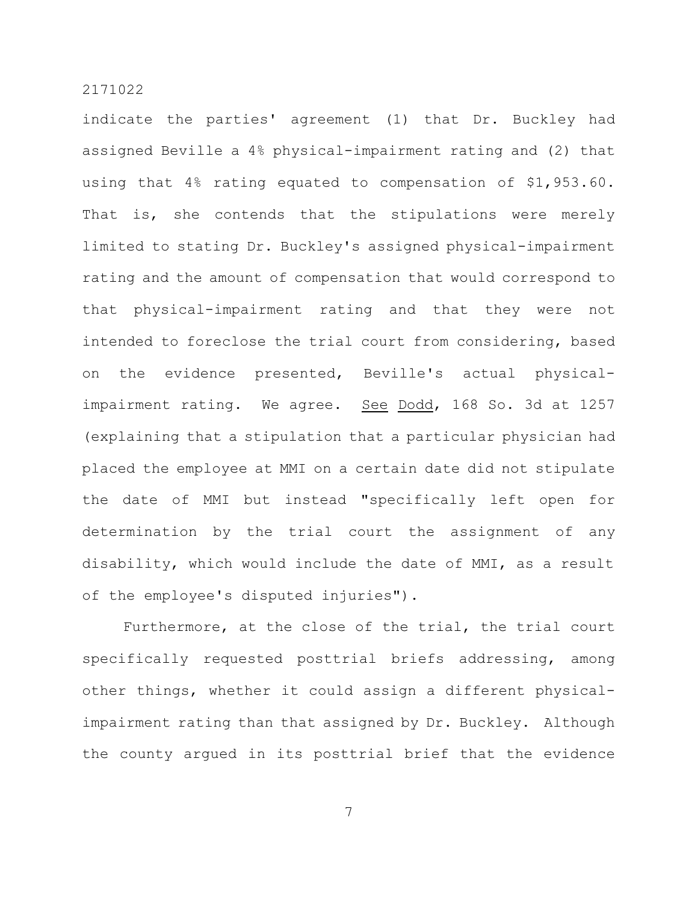indicate the parties' agreement (1) that Dr. Buckley had assigned Beville a 4% physical-impairment rating and (2) that using that 4% rating equated to compensation of \$1,953.60. That is, she contends that the stipulations were merely limited to stating Dr. Buckley's assigned physical-impairment rating and the amount of compensation that would correspond to that physical-impairment rating and that they were not intended to foreclose the trial court from considering, based on the evidence presented, Beville's actual physicalimpairment rating. We agree. See Dodd, 168 So. 3d at 1257 (explaining that a stipulation that a particular physician had placed the employee at MMI on a certain date did not stipulate the date of MMI but instead "specifically left open for determination by the trial court the assignment of any disability, which would include the date of MMI, as a result of the employee's disputed injuries").

Furthermore, at the close of the trial, the trial court specifically requested posttrial briefs addressing, among other things, whether it could assign a different physicalimpairment rating than that assigned by Dr. Buckley. Although the county argued in its posttrial brief that the evidence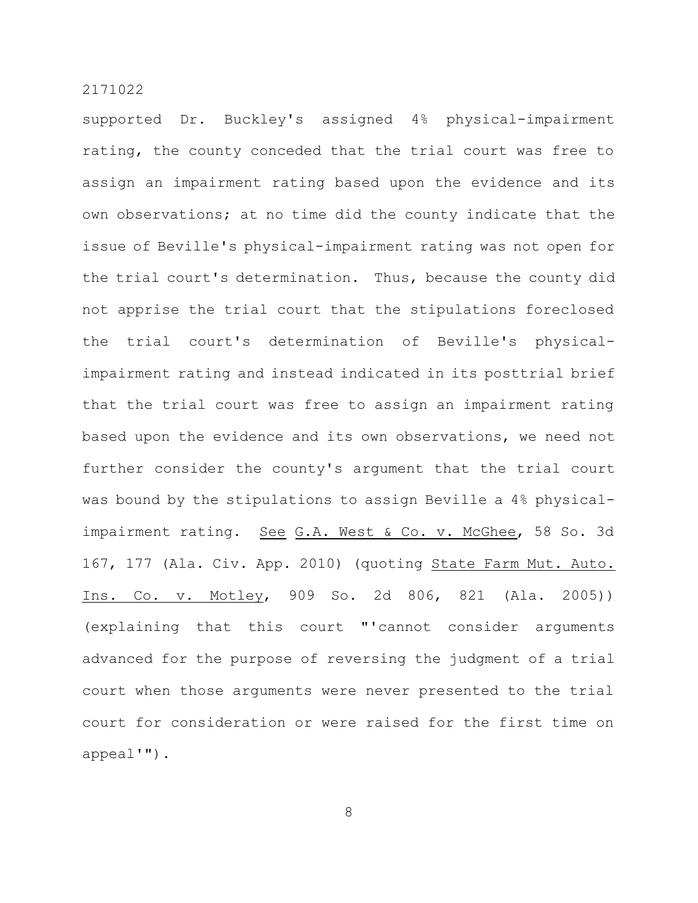supported Dr. Buckley's assigned 4% physical-impairment rating, the county conceded that the trial court was free to assign an impairment rating based upon the evidence and its own observations; at no time did the county indicate that the issue of Beville's physical-impairment rating was not open for the trial court's determination. Thus, because the county did not apprise the trial court that the stipulations foreclosed the trial court's determination of Beville's physicalimpairment rating and instead indicated in its posttrial brief that the trial court was free to assign an impairment rating based upon the evidence and its own observations, we need not further consider the county's argument that the trial court was bound by the stipulations to assign Beville a 4% physicalimpairment rating. See G.A. West & Co. v. McGhee, 58 So. 3d 167, 177 (Ala. Civ. App. 2010) (quoting State Farm Mut. Auto. Ins. Co. v. Motley, 909 So. 2d 806, 821 (Ala. 2005)) (explaining that this court "'cannot consider arguments advanced for the purpose of reversing the judgment of a trial court when those arguments were never presented to the trial court for consideration or were raised for the first time on appeal'").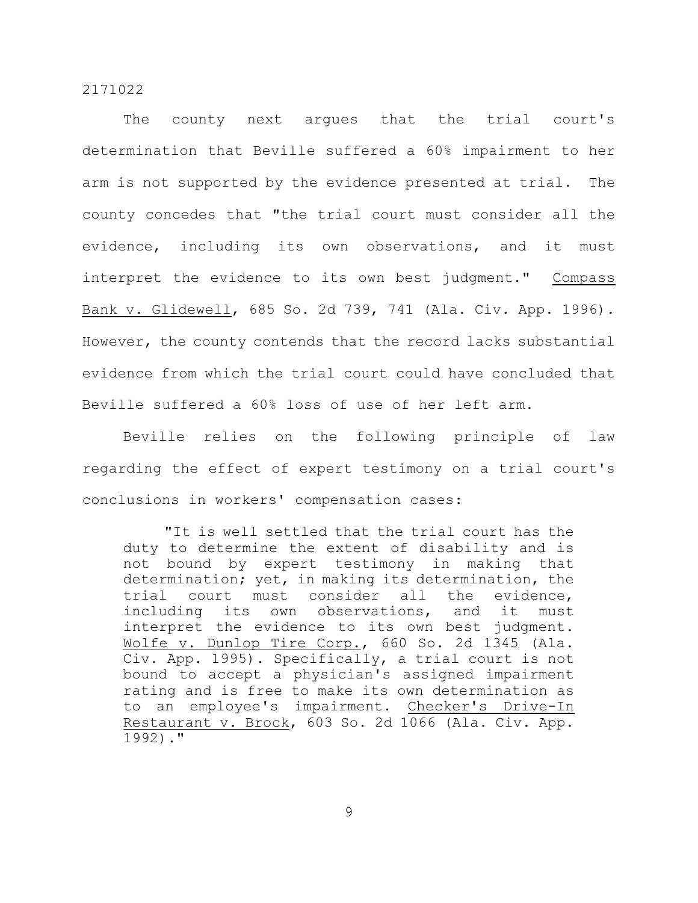The county next argues that the trial court's determination that Beville suffered a 60% impairment to her arm is not supported by the evidence presented at trial. The county concedes that "the trial court must consider all the evidence, including its own observations, and it must interpret the evidence to its own best judgment." Compass Bank v. Glidewell, 685 So. 2d 739, 741 (Ala. Civ. App. 1996). However, the county contends that the record lacks substantial evidence from which the trial court could have concluded that Beville suffered a 60% loss of use of her left arm.

Beville relies on the following principle of law regarding the effect of expert testimony on a trial court's conclusions in workers' compensation cases:

"It is well settled that the trial court has the duty to determine the extent of disability and is not bound by expert testimony in making that determination; yet, in making its determination, the trial court must consider all the evidence, including its own observations, and it must interpret the evidence to its own best judgment. Wolfe v. Dunlop Tire Corp., 660 So. 2d 1345 (Ala. Civ. App. 1995). Specifically, a trial court is not bound to accept a physician's assigned impairment rating and is free to make its own determination as to an employee's impairment. Checker's Drive-In Restaurant v. Brock, 603 So. 2d 1066 (Ala. Civ. App. 1992)."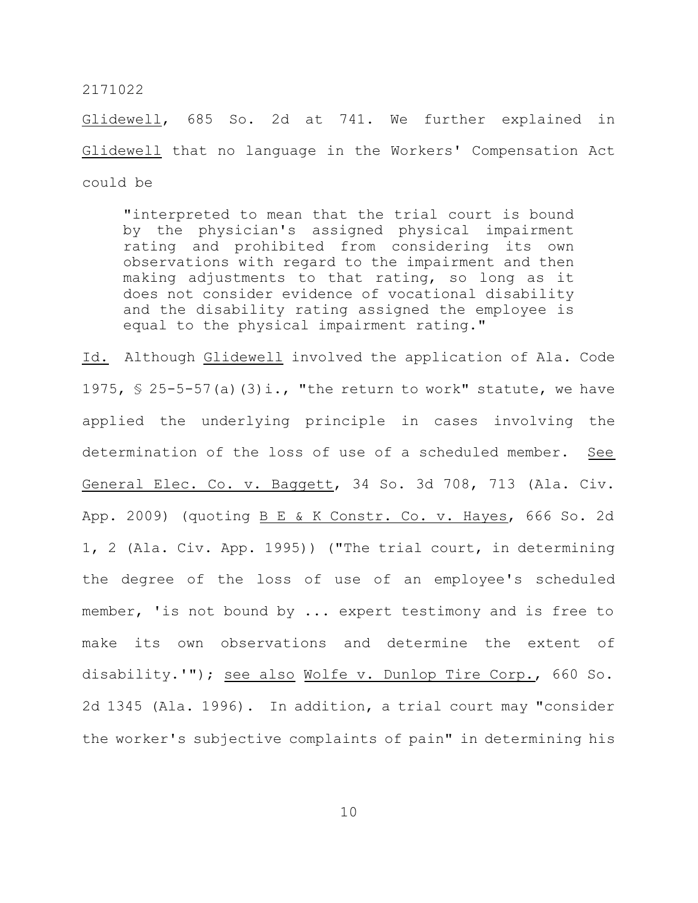Glidewell, 685 So. 2d at 741. We further explained in Glidewell that no language in the Workers' Compensation Act could be

"interpreted to mean that the trial court is bound by the physician's assigned physical impairment rating and prohibited from considering its own observations with regard to the impairment and then making adjustments to that rating, so long as it does not consider evidence of vocational disability and the disability rating assigned the employee is equal to the physical impairment rating."

Id. Although Glidewell involved the application of Ala. Code 1975,  $\frac{1}{5}$  25-5-57(a)(3)i., "the return to work" statute, we have applied the underlying principle in cases involving the determination of the loss of use of a scheduled member. See General Elec. Co. v. Baggett, 34 So. 3d 708, 713 (Ala. Civ. App. 2009) (quoting B E & K Constr. Co. v. Hayes, 666 So. 2d 1, 2 (Ala. Civ. App. 1995)) ("The trial court, in determining the degree of the loss of use of an employee's scheduled member, 'is not bound by ... expert testimony and is free to make its own observations and determine the extent of disability.'"); see also Wolfe v. Dunlop Tire Corp., 660 So. 2d 1345 (Ala. 1996). In addition, a trial court may "consider the worker's subjective complaints of pain" in determining his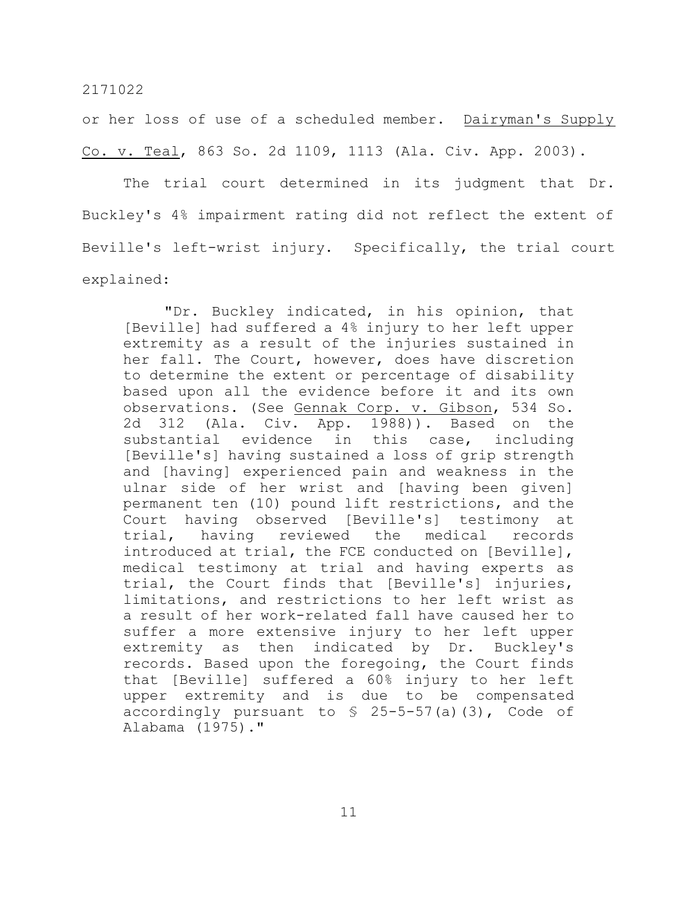or her loss of use of a scheduled member. Dairyman's Supply Co. v. Teal, 863 So. 2d 1109, 1113 (Ala. Civ. App. 2003).

The trial court determined in its judgment that Dr. Buckley's 4% impairment rating did not reflect the extent of Beville's left-wrist injury. Specifically, the trial court explained:

"Dr. Buckley indicated, in his opinion, that [Beville] had suffered a 4% injury to her left upper extremity as a result of the injuries sustained in her fall. The Court, however, does have discretion to determine the extent or percentage of disability based upon all the evidence before it and its own observations. (See Gennak Corp. v. Gibson, 534 So. 2d 312 (Ala. Civ. App. 1988)). Based on the substantial evidence in this case, including [Beville's] having sustained a loss of grip strength and [having] experienced pain and weakness in the ulnar side of her wrist and [having been given] permanent ten (10) pound lift restrictions, and the Court having observed [Beville's] testimony at trial, having reviewed the medical records introduced at trial, the FCE conducted on [Beville], medical testimony at trial and having experts as trial, the Court finds that [Beville's] injuries, limitations, and restrictions to her left wrist as a result of her work-related fall have caused her to suffer a more extensive injury to her left upper extremity as then indicated by Dr. Buckley's records. Based upon the foregoing, the Court finds that [Beville] suffered a 60% injury to her left upper extremity and is due to be compensated accordingly pursuant to  $\frac{1}{2}$  25-5-57(a)(3), Code of Alabama (1975)."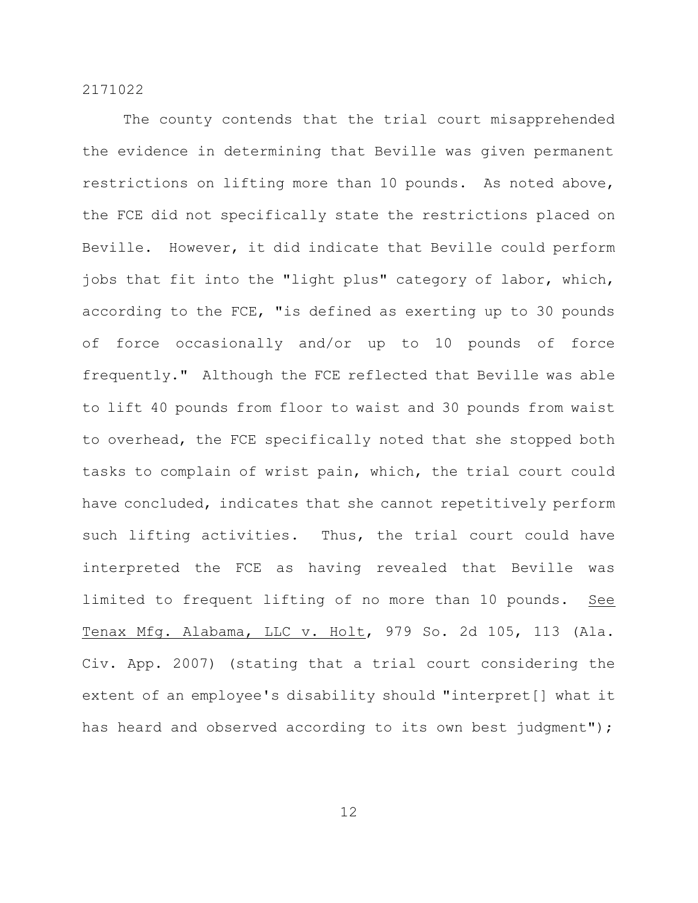The county contends that the trial court misapprehended the evidence in determining that Beville was given permanent restrictions on lifting more than 10 pounds. As noted above, the FCE did not specifically state the restrictions placed on Beville. However, it did indicate that Beville could perform jobs that fit into the "light plus" category of labor, which, according to the FCE, "is defined as exerting up to 30 pounds of force occasionally and/or up to 10 pounds of force frequently." Although the FCE reflected that Beville was able to lift 40 pounds from floor to waist and 30 pounds from waist to overhead, the FCE specifically noted that she stopped both tasks to complain of wrist pain, which, the trial court could have concluded, indicates that she cannot repetitively perform such lifting activities. Thus, the trial court could have interpreted the FCE as having revealed that Beville was limited to frequent lifting of no more than 10 pounds. See Tenax Mfg. Alabama, LLC v. Holt, 979 So. 2d 105, 113 (Ala. Civ. App. 2007) (stating that a trial court considering the extent of an employee's disability should "interpret[] what it has heard and observed according to its own best judgment");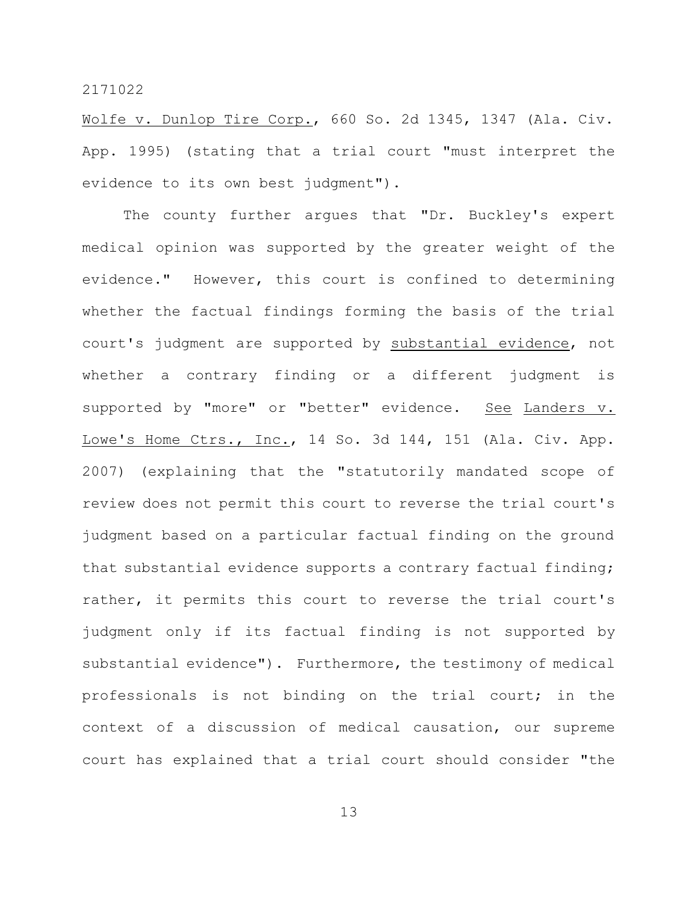Wolfe v. Dunlop Tire Corp., 660 So. 2d 1345, 1347 (Ala. Civ. App. 1995) (stating that a trial court "must interpret the evidence to its own best judgment").

The county further argues that "Dr. Buckley's expert medical opinion was supported by the greater weight of the evidence." However, this court is confined to determining whether the factual findings forming the basis of the trial court's judgment are supported by substantial evidence, not whether a contrary finding or a different judgment is supported by "more" or "better" evidence. See Landers v. Lowe's Home Ctrs., Inc., 14 So. 3d 144, 151 (Ala. Civ. App. 2007) (explaining that the "statutorily mandated scope of review does not permit this court to reverse the trial court's judgment based on a particular factual finding on the ground that substantial evidence supports a contrary factual finding; rather, it permits this court to reverse the trial court's judgment only if its factual finding is not supported by substantial evidence"). Furthermore, the testimony of medical professionals is not binding on the trial court; in the context of a discussion of medical causation, our supreme court has explained that a trial court should consider "the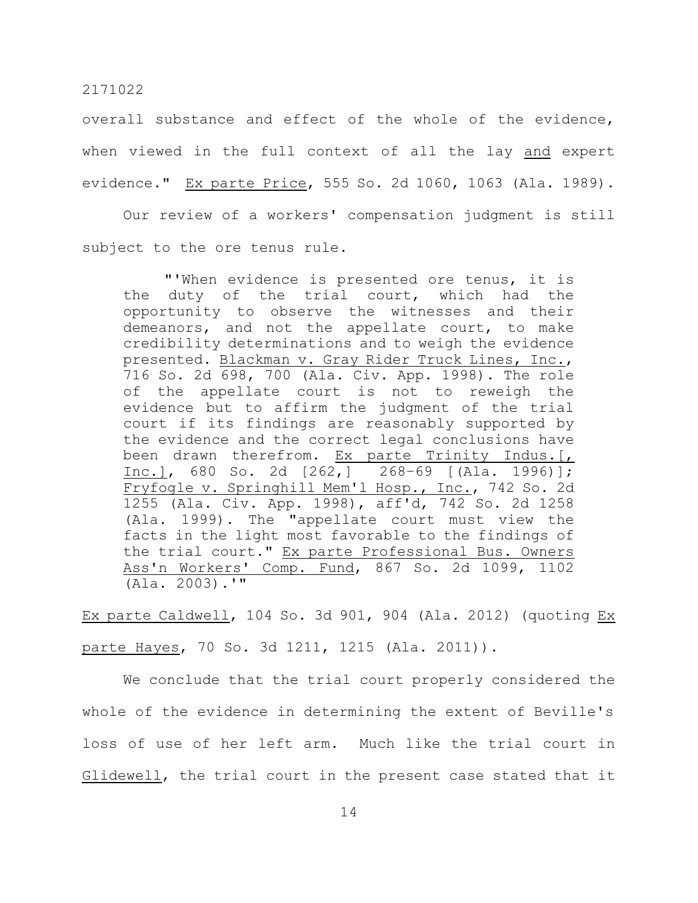overall substance and effect of the whole of the evidence, when viewed in the full context of all the lay and expert evidence." Ex parte Price, 555 So. 2d 1060, 1063 (Ala. 1989).

Our review of a workers' compensation judgment is still subject to the ore tenus rule.

"'When evidence is presented ore tenus, it is the duty of the trial court, which had the opportunity to observe the witnesses and their demeanors, and not the appellate court, to make credibility determinations and to weigh the evidence presented. Blackman v. Gray Rider Truck Lines, Inc., 716 So. 2d 698, 700 (Ala. Civ. App. 1998). The role of the appellate court is not to reweigh the evidence but to affirm the judgment of the trial court if its findings are reasonably supported by the evidence and the correct legal conclusions have been drawn therefrom. Ex parte Trinity Indus. [, Inc.], 680 So. 2d [262,] 268–69 [(Ala. 1996)]; Fryfogle v. Springhill Mem'l Hosp., Inc., 742 So. 2d 1255 (Ala. Civ. App. 1998), aff'd, 742 So. 2d 1258 (Ala. 1999). The "appellate court must view the facts in the light most favorable to the findings of the trial court." Ex parte Professional Bus. Owners Ass'n Workers' Comp. Fund, 867 So. 2d 1099, 1102 (Ala. 2003).'"

Ex parte Caldwell, 104 So. 3d 901, 904 (Ala. 2012) (quoting Ex parte Hayes, 70 So. 3d 1211, 1215 (Ala. 2011)).

We conclude that the trial court properly considered the whole of the evidence in determining the extent of Beville's loss of use of her left arm. Much like the trial court in Glidewell, the trial court in the present case stated that it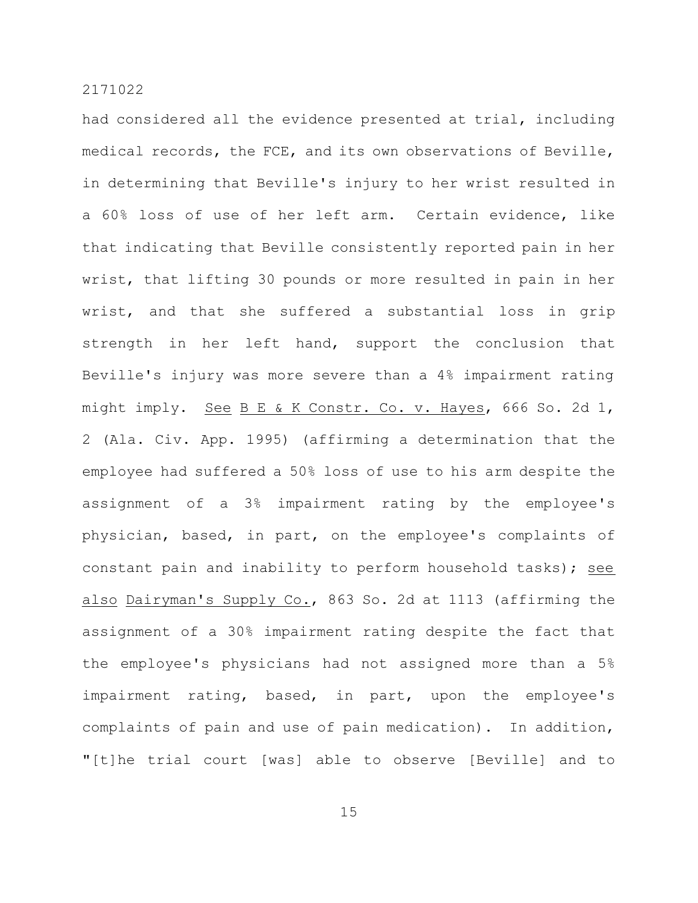had considered all the evidence presented at trial, including medical records, the FCE, and its own observations of Beville, in determining that Beville's injury to her wrist resulted in a 60% loss of use of her left arm. Certain evidence, like that indicating that Beville consistently reported pain in her wrist, that lifting 30 pounds or more resulted in pain in her wrist, and that she suffered a substantial loss in grip strength in her left hand, support the conclusion that Beville's injury was more severe than a 4% impairment rating might imply. See B E & K Constr. Co. v. Hayes, 666 So. 2d 1, 2 (Ala. Civ. App. 1995) (affirming a determination that the employee had suffered a 50% loss of use to his arm despite the assignment of a 3% impairment rating by the employee's physician, based, in part, on the employee's complaints of constant pain and inability to perform household tasks); see also Dairyman's Supply Co., 863 So. 2d at 1113 (affirming the assignment of a 30% impairment rating despite the fact that the employee's physicians had not assigned more than a 5% impairment rating, based, in part, upon the employee's complaints of pain and use of pain medication). In addition, "[t]he trial court [was] able to observe [Beville] and to